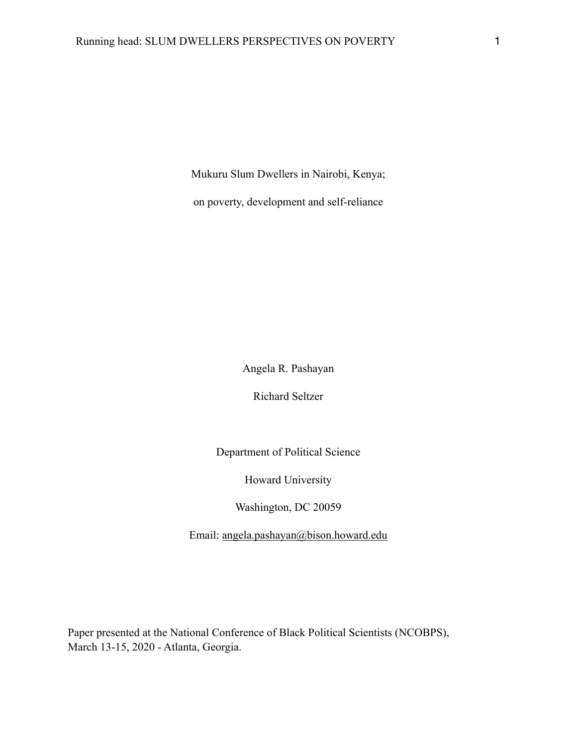Mukuru Slum Dwellers in Nairobi, Kenya;

on poverty, development and self-reliance

Angela R. Pashayan

Richard Seltzer

Department of Political Science

Howard University

Washington, DC 20059

Email: [angela.pashayan@bison.howard.edu](mailto:angela.pashayan@bison.howard.edu)

Paper presented at the National Conference of Black Political Scientists (NCOBPS), March 13-15, 2020 - Atlanta, Georgia.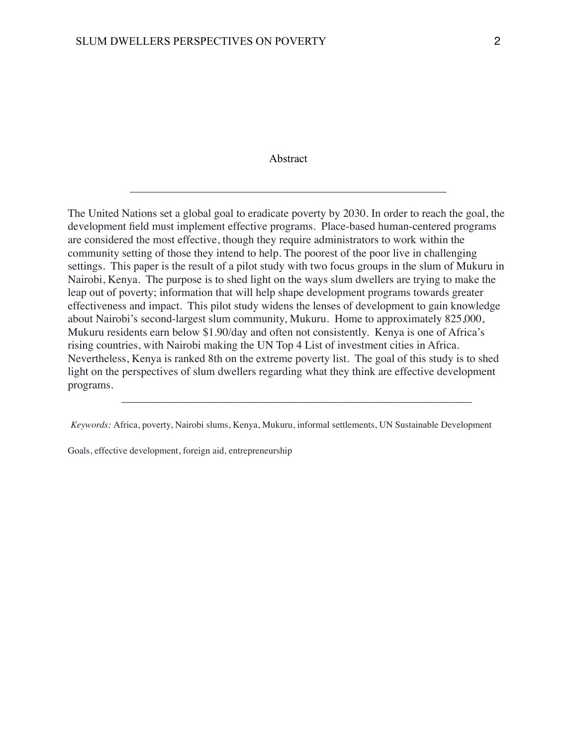### Abstract

 $\mathcal{L}_\text{max}$  , and the contribution of the contribution of the contribution of the contribution of the contribution of the contribution of the contribution of the contribution of the contribution of the contribution of t

The United Nations set a global goal to eradicate poverty by 2030. In order to reach the goal, the development field must implement effective programs. Place-based human-centered programs are considered the most effective, though they require administrators to work within the community setting of those they intend to help. The poorest of the poor live in challenging settings. This paper is the result of a pilot study with two focus groups in the slum of Mukuru in Nairobi, Kenya. The purpose is to shed light on the ways slum dwellers are trying to make the leap out of poverty; information that will help shape development programs towards greater effectiveness and impact. This pilot study widens the lenses of development to gain knowledge about Nairobi's second-largest slum community, Mukuru. Home to approximately 825,000, Mukuru residents earn below \$1.90/day and often not consistently. Kenya is one of Africa's rising countries, with Nairobi making the UN Top 4 List of investment cities in Africa. Nevertheless, Kenya is ranked 8th on the extreme poverty list. The goal of this study is to shed light on the perspectives of slum dwellers regarding what they think are effective development programs.

 $\mathcal{L}_\text{max} = \frac{1}{2} \sum_{i=1}^{n} \frac{1}{2} \sum_{i=1}^{n} \frac{1}{2} \sum_{i=1}^{n} \frac{1}{2} \sum_{i=1}^{n} \frac{1}{2} \sum_{i=1}^{n} \frac{1}{2} \sum_{i=1}^{n} \frac{1}{2} \sum_{i=1}^{n} \frac{1}{2} \sum_{i=1}^{n} \frac{1}{2} \sum_{i=1}^{n} \frac{1}{2} \sum_{i=1}^{n} \frac{1}{2} \sum_{i=1}^{n} \frac{1}{2} \sum_{i=1}^{n} \frac{1$ 

Goals, effective development, foreign aid, entrepreneurship

*Keywords:* Africa, poverty, Nairobi slums, Kenya, Mukuru, informal settlements, UN Sustainable Development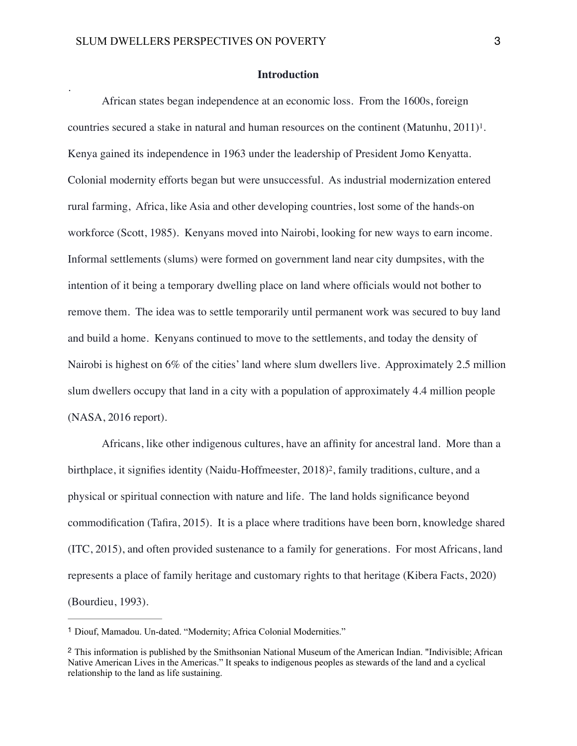.

### <span id="page-2-2"></span>**Introduction**

African states began independence at an economic loss. From the 1600s, foreign countries secured a stake in natural and human resources on the continent (Matunhu,  $2011$  $2011$  $2011$ )<sup>1</sup>[.](#page-2-0) Kenya gained its independence in 1963 under the leadership of President Jomo Kenyatta. Colonial modernity efforts began but were unsuccessful. As industrial modernization entered rural farming, Africa, like Asia and other developing countries, lost some of the hands-on workforce (Scott, 1985). Kenyans moved into Nairobi, looking for new ways to earn income. Informal settlements (slums) were formed on government land near city dumpsites, with the intention of it being a temporary dwelling place on land where officials would not bother to remove them. The idea was to settle temporarily until permanent work was secured to buy land and build a home. Kenyans continued to move to the settlements, and today the density of Nairobi is highest on 6% of the cities' land where slum dwellers live. Approximately 2.5 million slum dwellers occupy that land in a city with a population of approximately 4.4 million people (NASA, 2016 report).

<span id="page-2-3"></span>Africans, like other indigenous cultures, have an affinity for ancestral land. More than a birthplace[,](#page-2-1) it signifies identity (Naidu-Hoffmeester,  $2018$  $2018$ )<sup>2</sup>, family traditions, culture, and a physical or spiritual connection with nature and life. The land holds significance beyond commodification (Tafira, 2015). It is a place where traditions have been born, knowledge shared (ITC, 2015), and often provided sustenance to a family for generations. For most Africans, land represents a place of family heritage and customary rights to that heritage (Kibera Facts, 2020) (Bourdieu, 1993).

<span id="page-2-0"></span><sup>&</sup>lt;sup>[1](#page-2-2)</sup> Diouf, Mamadou. Un-dated. "Modernity; Africa Colonial Modernities."

<span id="page-2-1"></span><sup>&</sup>lt;sup>[2](#page-2-3)</sup> This information is published by the Smithsonian National Museum of the American Indian. "Indivisible; African Native American Lives in the Americas." It speaks to indigenous peoples as stewards of the land and a cyclical relationship to the land as life sustaining.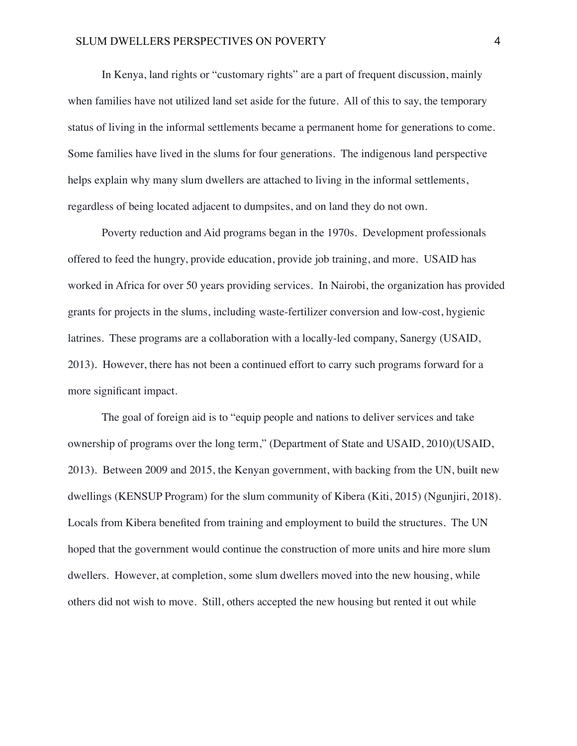In Kenya, land rights or "customary rights" are a part of frequent discussion, mainly when families have not utilized land set aside for the future. All of this to say, the temporary status of living in the informal settlements became a permanent home for generations to come. Some families have lived in the slums for four generations. The indigenous land perspective helps explain why many slum dwellers are attached to living in the informal settlements, regardless of being located adjacent to dumpsites, and on land they do not own.

Poverty reduction and Aid programs began in the 1970s. Development professionals offered to feed the hungry, provide education, provide job training, and more. USAID has worked in Africa for over 50 years providing services. In Nairobi, the organization has provided grants for projects in the slums, including waste-fertilizer conversion and low-cost, hygienic latrines. These programs are a collaboration with a locally-led company, Sanergy (USAID, 2013). However, there has not been a continued effort to carry such programs forward for a more significant impact.

The goal of foreign aid is to "equip people and nations to deliver services and take ownership of programs over the long term," (Department of State and USAID, 2010)(USAID, 2013). Between 2009 and 2015, the Kenyan government, with backing from the UN, built new dwellings (KENSUP Program) for the slum community of Kibera (Kiti, 2015) (Ngunjiri, 2018). Locals from Kibera benefited from training and employment to build the structures. The UN hoped that the government would continue the construction of more units and hire more slum dwellers. However, at completion, some slum dwellers moved into the new housing, while others did not wish to move. Still, others accepted the new housing but rented it out while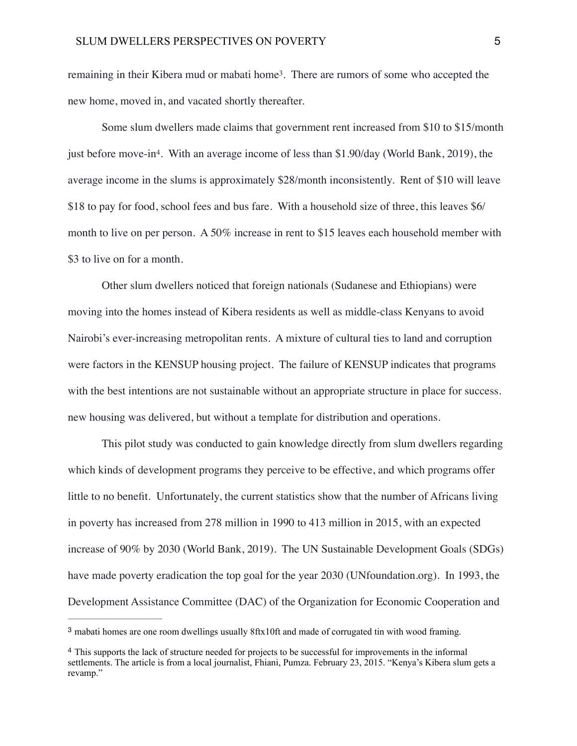<span id="page-4-2"></span>remaining in their Kibera mud or mabati home<sup>[3](#page-4-0)</sup>. There are rumors of some who accepted the new home, moved in, and vacated shortly thereafter.

<span id="page-4-3"></span>Some slum dwellers made claims that government rent increased from \$10 to \$15/month just before move-in<sup>4</sup>[.](#page-4-1) With an average income of less than \$1.90/day (World Bank, 2019), the average income in the slums is approximately \$28/month inconsistently. Rent of \$10 will leave \$18 to pay for food, school fees and bus fare. With a household size of three, this leaves \$6/ month to live on per person. A 50% increase in rent to \$15 leaves each household member with \$3 to live on for a month.

Other slum dwellers noticed that foreign nationals (Sudanese and Ethiopians) were moving into the homes instead of Kibera residents as well as middle-class Kenyans to avoid Nairobi's ever-increasing metropolitan rents. A mixture of cultural ties to land and corruption were factors in the KENSUP housing project. The failure of KENSUP indicates that programs with the best intentions are not sustainable without an appropriate structure in place for success. new housing was delivered, but without a template for distribution and operations.

 This pilot study was conducted to gain knowledge directly from slum dwellers regarding which kinds of development programs they perceive to be effective, and which programs offer little to no benefit. Unfortunately, the current statistics show that the number of Africans living in poverty has increased from 278 million in 1990 to 413 million in 2015, with an expected increase of 90% by 2030 (World Bank, 2019). The UN Sustainable Development Goals (SDGs) have made poverty eradication the top goal for the year 2030 (UNfoundation.org). In 1993, the Development Assistance Committee (DAC) of the Organization for Economic Cooperation and

<span id="page-4-0"></span><sup>&</sup>lt;sup>[3](#page-4-2)</sup> mabati homes are one room dwellings usually 8ftx10ft and made of corrugated tin with wood framing.

<span id="page-4-1"></span><sup>&</sup>lt;sup>[4](#page-4-3)</sup> This supports the lack of structure needed for projects to be successful for improvements in the informal settlements. The article is from a local journalist, Fhiani, Pumza. February 23, 2015. "Kenya's Kibera slum gets a revamp."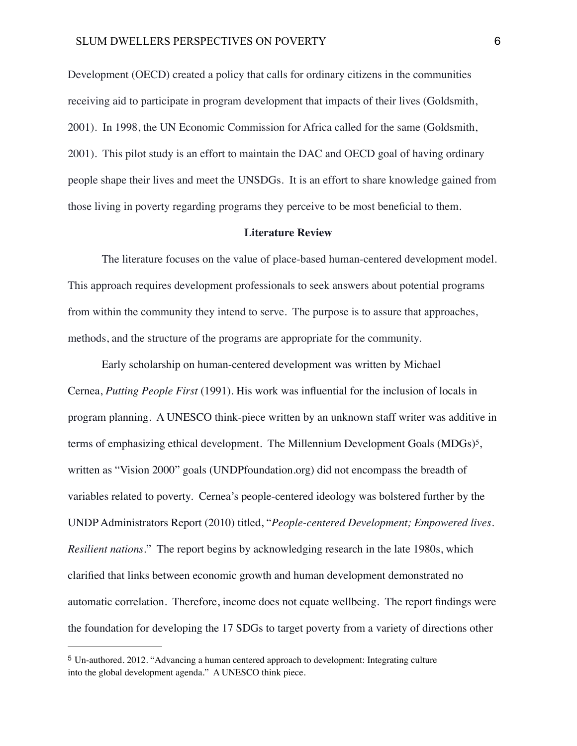Development (OECD) created a policy that calls for ordinary citizens in the communities receiving aid to participate in program development that impacts of their lives (Goldsmith, 2001). In 1998, the UN Economic Commission for Africa called for the same (Goldsmith, 2001). This pilot study is an effort to maintain the DAC and OECD goal of having ordinary people shape their lives and meet the UNSDGs. It is an effort to share knowledge gained from those living in poverty regarding programs they perceive to be most beneficial to them.

#### <span id="page-5-1"></span>**Literature Review**

The literature focuses on the value of place-based human-centered development model. This approach requires development professionals to seek answers about potential programs from within the community they intend to serve. The purpose is to assure that approaches, methods, and the structure of the programs are appropriate for the community.

Early scholarship on human-centered development was written by Michael Cernea, *Putting People First* (1991). His work was influential for the inclusion of locals in program planning. A UNESCO think-piece written by an unknown staff writer was additive in terms of emphasizing ethical development. The Millennium Development Goals (MDGs)<sup>5</sup>[,](#page-5-0) written as "Vision 2000" goals (UNDPfoundation.org) did not encompass the breadth of variables related to poverty. Cernea's people-centered ideology was bolstered further by the UNDP Administrators Report (2010) titled, "*People-centered Development; Empowered lives. Resilient nations*." The report begins by acknowledging research in the late 1980s, which clarified that links between economic growth and human development demonstrated no automatic correlation. Therefore, income does not equate wellbeing. The report findings were the foundation for developing the 17 SDGs to target poverty from a variety of directions other

<span id="page-5-0"></span>Un-authored. 2012. "Advancing a human centered approach to development: Integrating culture [5](#page-5-1) into the global development agenda." A UNESCO think piece.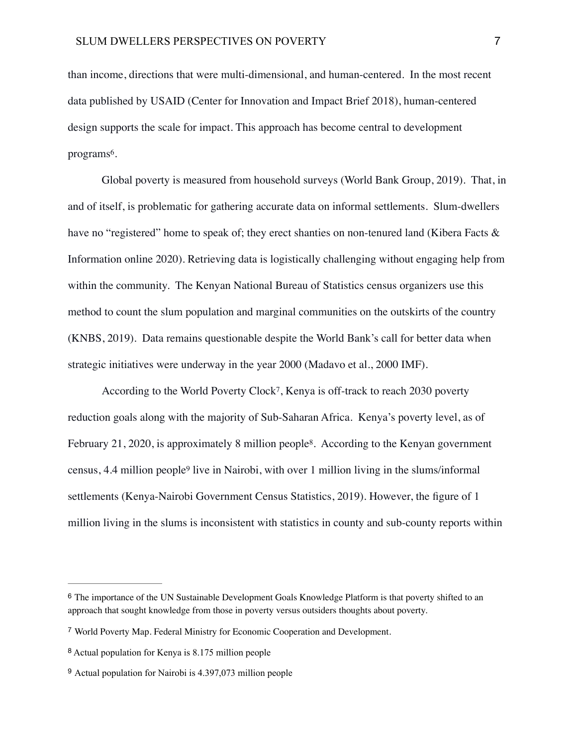than income, directions that were multi-dimensional, and human-centered. In the most recent data published by USAID (Center for Innovation and Impact Brief 2018), human-centered design supports the scale for impact. This approach has become central to development programs<sup>[6](#page-6-0)</sup>.

<span id="page-6-4"></span>Global poverty is measured from household surveys (World Bank Group, 2019). That, in and of itself, is problematic for gathering accurate data on informal settlements. Slum-dwellers have no "registered" home to speak of; they erect shanties on non-tenured land (Kibera Facts & Information online 2020). Retrieving data is logistically challenging without engaging help from within the community. The Kenyan National Bureau of Statistics census organizers use this method to count the slum population and marginal communities on the outskirts of the country (KNBS, 2019). Data remains questionable despite the World Bank's call for better data when strategic initiatives were underway in the year 2000 (Madavo et al., 2000 IMF).

<span id="page-6-7"></span><span id="page-6-6"></span><span id="page-6-5"></span>According to the World Poverty Clock<sup>[7](#page-6-1)</sup>, Kenya is off-track to reach 2030 poverty reduction goals along with the majority of Sub-Saharan Africa. Kenya's poverty level, as of February 21, 2020, is approximately [8](#page-6-2) million people<sup>8</sup>. According to the Kenyan government census,4.4 million people<sup>[9](#page-6-3)</sup> live in Nairobi, with over 1 million living in the slums/informal settlements (Kenya-Nairobi Government Census Statistics, 2019). However, the figure of 1 million living in the slums is inconsistent with statistics in county and sub-county reports within

<span id="page-6-0"></span><sup>&</sup>lt;sup>[6](#page-6-4)</sup> The importance of the UN Sustainable Development Goals Knowledge Platform is that poverty shifted to an approach that sought knowledge from those in poverty versus outsiders thoughts about poverty.

<span id="page-6-1"></span>World Poverty Map. Federal Ministry for Economic Cooperation and Development. [7](#page-6-5)

<span id="page-6-2"></span>[<sup>8</sup>](#page-6-6) Actual population for Kenya is 8.175 million people

<span id="page-6-3"></span><sup>&</sup>lt;sup>[9](#page-6-7)</sup> Actual population for Nairobi is 4.397,073 million people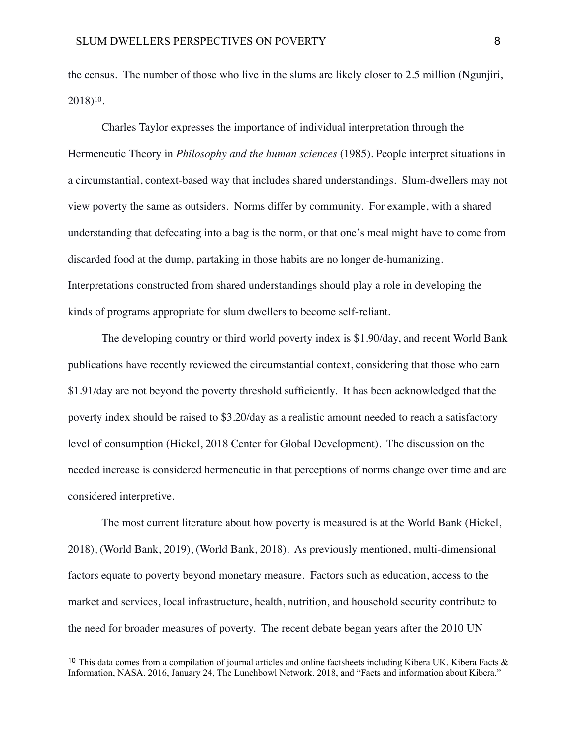<span id="page-7-1"></span>the census. The number of those who live in the slums are likely closer to 2.5 million (Ngunjiri,  $2018$ <sup>[10](#page-7-0)</sup>.

Charles Taylor expresses the importance of individual interpretation through the Hermeneutic Theory in *Philosophy and the human sciences* (1985). People interpret situations in a circumstantial, context-based way that includes shared understandings. Slum-dwellers may not view poverty the same as outsiders. Norms differ by community. For example, with a shared understanding that defecating into a bag is the norm, or that one's meal might have to come from discarded food at the dump, partaking in those habits are no longer de-humanizing. Interpretations constructed from shared understandings should play a role in developing the kinds of programs appropriate for slum dwellers to become self-reliant.

The developing country or third world poverty index is \$1.90/day, and recent World Bank publications have recently reviewed the circumstantial context, considering that those who earn \$1.91/day are not beyond the poverty threshold sufficiently. It has been acknowledged that the poverty index should be raised to \$3.20/day as a realistic amount needed to reach a satisfactory level of consumption (Hickel, 2018 Center for Global Development). The discussion on the needed increase is considered hermeneutic in that perceptions of norms change over time and are considered interpretive.

The most current literature about how poverty is measured is at the World Bank (Hickel, 2018), (World Bank, 2019), (World Bank, 2018). As previously mentioned, multi-dimensional factors equate to poverty beyond monetary measure. Factors such as education, access to the market and services, local infrastructure, health, nutrition, and household security contribute to the need for broader measures of poverty. The recent debate began years after the 2010 UN

<span id="page-7-0"></span><sup>&</sup>lt;sup>[10](#page-7-1)</sup> This data comes from a compilation of journal articles and online factsheets including Kibera UK. Kibera Facts  $\&$ Information, NASA. 2016, January 24, The Lunchbowl Network. 2018, and "Facts and information about Kibera."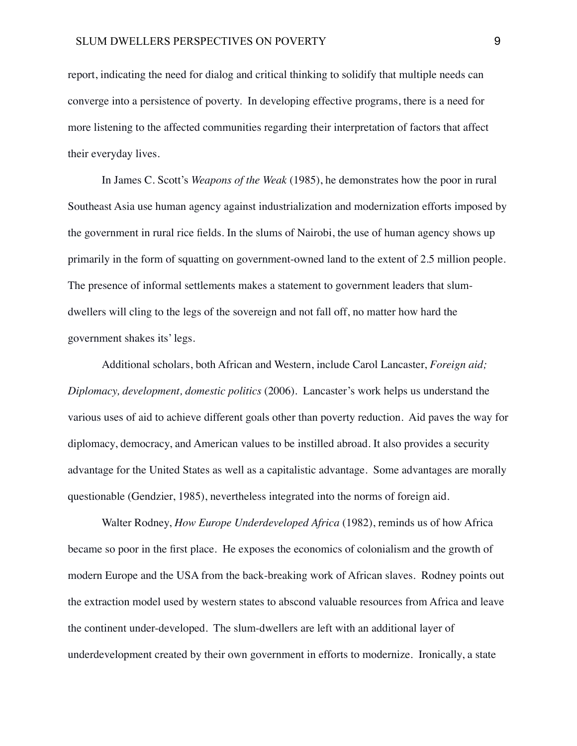report, indicating the need for dialog and critical thinking to solidify that multiple needs can converge into a persistence of poverty. In developing effective programs, there is a need for more listening to the affected communities regarding their interpretation of factors that affect their everyday lives.

In James C. Scott's *Weapons of the Weak* (1985), he demonstrates how the poor in rural Southeast Asia use human agency against industrialization and modernization efforts imposed by the government in rural rice fields. In the slums of Nairobi, the use of human agency shows up primarily in the form of squatting on government-owned land to the extent of 2.5 million people. The presence of informal settlements makes a statement to government leaders that slumdwellers will cling to the legs of the sovereign and not fall off, no matter how hard the government shakes its' legs.

Additional scholars, both African and Western, include Carol Lancaster, *Foreign aid; Diplomacy, development, domestic politics* (2006). Lancaster's work helps us understand the various uses of aid to achieve different goals other than poverty reduction. Aid paves the way for diplomacy, democracy, and American values to be instilled abroad. It also provides a security advantage for the United States as well as a capitalistic advantage. Some advantages are morally questionable (Gendzier, 1985), nevertheless integrated into the norms of foreign aid.

Walter Rodney, *How Europe Underdeveloped Africa* (1982), reminds us of how Africa became so poor in the first place. He exposes the economics of colonialism and the growth of modern Europe and the USA from the back-breaking work of African slaves. Rodney points out the extraction model used by western states to abscond valuable resources from Africa and leave the continent under-developed. The slum-dwellers are left with an additional layer of underdevelopment created by their own government in efforts to modernize. Ironically, a state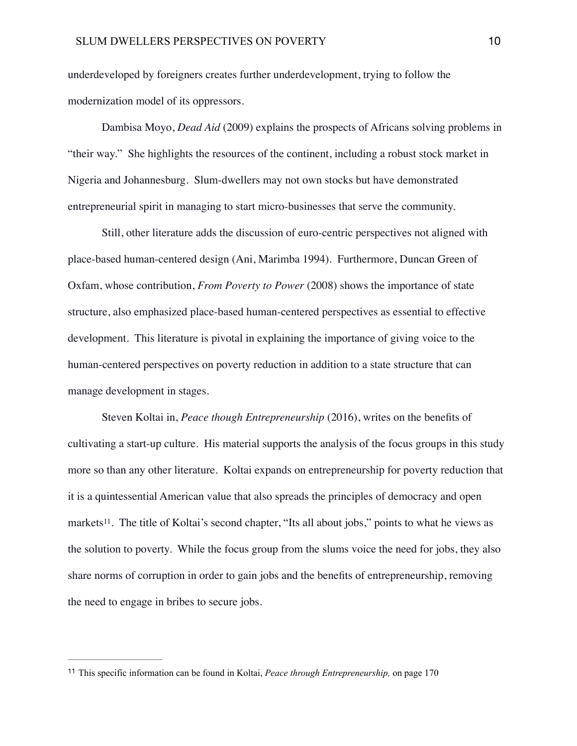underdeveloped by foreigners creates further underdevelopment, trying to follow the modernization model of its oppressors.

Dambisa Moyo, *Dead Aid* (2009) explains the prospects of Africans solving problems in "their way." She highlights the resources of the continent, including a robust stock market in Nigeria and Johannesburg. Slum-dwellers may not own stocks but have demonstrated entrepreneurial spirit in managing to start micro-businesses that serve the community.

Still, other literature adds the discussion of euro-centric perspectives not aligned with place-based human-centered design (Ani, Marimba 1994). Furthermore, Duncan Green of Oxfam, whose contribution, *From Poverty to Power* (2008) shows the importance of state structure, also emphasized place-based human-centered perspectives as essential to effective development. This literature is pivotal in explaining the importance of giving voice to the human-centered perspectives on poverty reduction in addition to a state structure that can manage development in stages.

<span id="page-9-1"></span>Steven Koltai in, *Peace though Entrepreneurship* (2016), writes on the benefits of cultivating a start-up culture. His material supports the analysis of the focus groups in this study more so than any other literature. Koltai expands on entrepreneurship for poverty reduction that it is a quintessential American value that also spreads the principles of democracy and open markets<sup>11</sup>[.](#page-9-0) The title of Koltai's second chapter, "Its all about jobs," points to what he views as the solution to poverty. While the focus group from the slums voice the need for jobs, they also share norms of corruption in order to gain jobs and the benefits of entrepreneurship, removing the need to engage in bribes to secure jobs.

<span id="page-9-0"></span><sup>&</sup>lt;sup>[11](#page-9-1)</sup> This specific information can be found in Koltai, *Peace through Entrepreneurship*, on page 170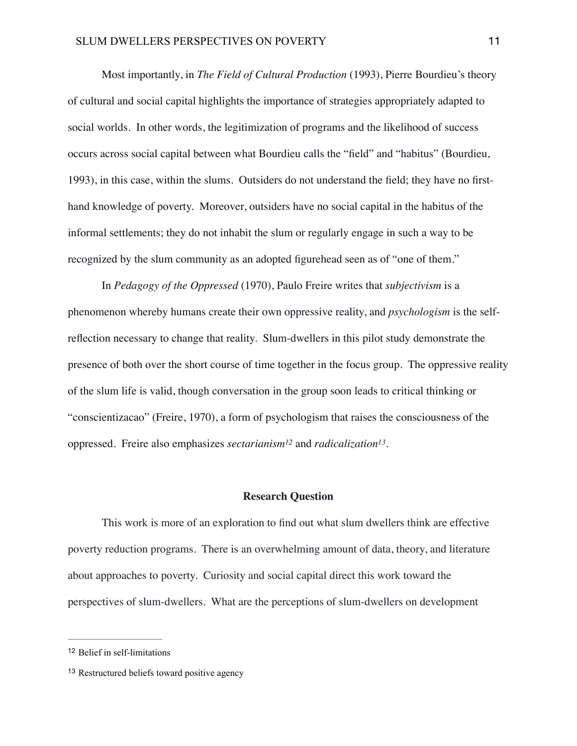Most importantly, in *The Field of Cultural Production* (1993), Pierre Bourdieu's theory of cultural and social capital highlights the importance of strategies appropriately adapted to social worlds. In other words, the legitimization of programs and the likelihood of success occurs across social capital between what Bourdieu calls the "field" and "habitus" (Bourdieu, 1993), in this case, within the slums. Outsiders do not understand the field; they have no firsthand knowledge of poverty. Moreover, outsiders have no social capital in the habitus of the informal settlements; they do not inhabit the slum or regularly engage in such a way to be recognized by the slum community as an adopted figurehead seen as of "one of them."

In *Pedagogy of the Oppressed* (1970), Paulo Freire writes that *subjectivism* is a phenomenon whereby humans create their own oppressive reality, and *psychologism* is the selfreflection necessary to change that reality. Slum-dwellers in this pilot study demonstrate the presence of both over the short course of time together in the focus group. The oppressive reality of the slum life is valid, though conversation in the group soon leads to critical thinking or "conscientizacao" (Freire, 1970), a form of psychologism that raises the consciousness of the oppressed. Freire also emphasizes *sectarianism<sup>[12](#page-10-0)</sup>* and *radicalization<sup>[13](#page-10-1)</sup>*.

### <span id="page-10-3"></span><span id="page-10-2"></span>**Research Question**

This work is more of an exploration to find out what slum dwellers think are effective poverty reduction programs. There is an overwhelming amount of data, theory, and literature about approaches to poverty. Curiosity and social capital direct this work toward the perspectives of slum-dwellers. What are the perceptions of slum-dwellers on development

<span id="page-10-0"></span><sup>&</sup>lt;sup>[12](#page-10-2)</sup> Belief in self-limitations

<span id="page-10-1"></span><sup>&</sup>lt;sup>[13](#page-10-3)</sup> Restructured beliefs toward positive agency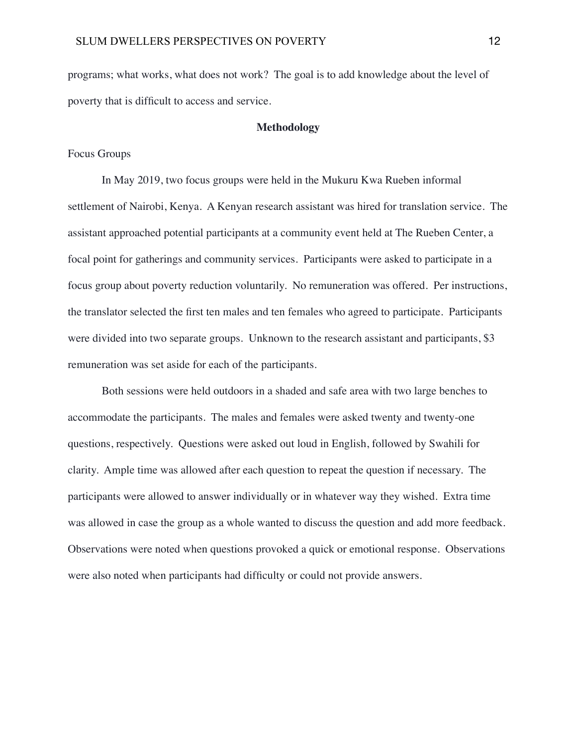programs; what works, what does not work? The goal is to add knowledge about the level of poverty that is difficult to access and service.

#### **Methodology**

### Focus Groups

In May 2019, two focus groups were held in the Mukuru Kwa Rueben informal settlement of Nairobi, Kenya. A Kenyan research assistant was hired for translation service. The assistant approached potential participants at a community event held at The Rueben Center, a focal point for gatherings and community services. Participants were asked to participate in a focus group about poverty reduction voluntarily. No remuneration was offered. Per instructions, the translator selected the first ten males and ten females who agreed to participate. Participants were divided into two separate groups. Unknown to the research assistant and participants, \$3 remuneration was set aside for each of the participants.

Both sessions were held outdoors in a shaded and safe area with two large benches to accommodate the participants. The males and females were asked twenty and twenty-one questions, respectively. Questions were asked out loud in English, followed by Swahili for clarity. Ample time was allowed after each question to repeat the question if necessary. The participants were allowed to answer individually or in whatever way they wished. Extra time was allowed in case the group as a whole wanted to discuss the question and add more feedback. Observations were noted when questions provoked a quick or emotional response. Observations were also noted when participants had difficulty or could not provide answers.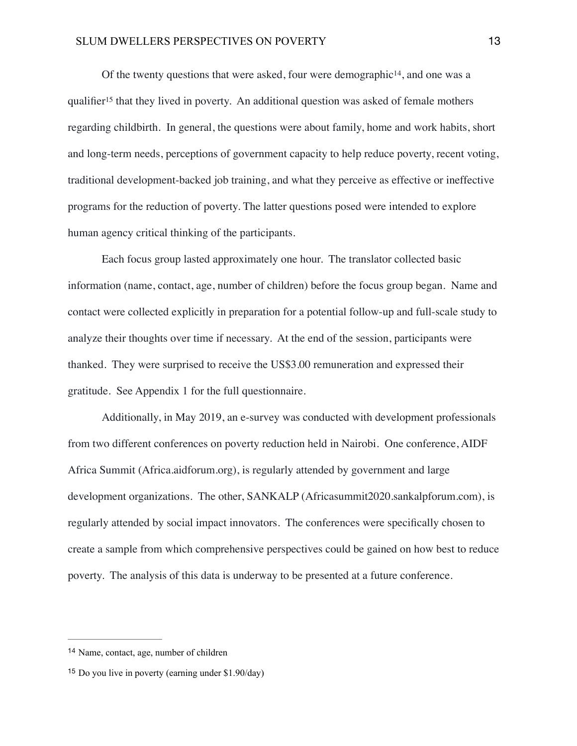<span id="page-12-3"></span><span id="page-12-2"></span>Of the twenty questions that were asked[,](#page-12-0) four were demographic<sup>[14](#page-12-0)</sup>, and one was a qualifier<sup>15</sup>that they lived in poverty. An additional question was asked of female mothers regarding childbirth. In general, the questions were about family, home and work habits, short and long-term needs, perceptions of government capacity to help reduce poverty, recent voting, traditional development-backed job training, and what they perceive as effective or ineffective programs for the reduction of poverty. The latter questions posed were intended to explore human agency critical thinking of the participants.

Each focus group lasted approximately one hour. The translator collected basic information (name, contact, age, number of children) before the focus group began. Name and contact were collected explicitly in preparation for a potential follow-up and full-scale study to analyze their thoughts over time if necessary. At the end of the session, participants were thanked. They were surprised to receive the US\$3.00 remuneration and expressed their gratitude. See Appendix 1 for the full questionnaire.

Additionally, in May 2019, an e-survey was conducted with development professionals from two different conferences on poverty reduction held in Nairobi. One conference, AIDF Africa Summit (Africa.aidforum.org), is regularly attended by government and large development organizations. The other, SANKALP (Africasummit2020.sankalpforum.com), is regularly attended by social impact innovators. The conferences were specifically chosen to create a sample from which comprehensive perspectives could be gained on how best to reduce poverty. The analysis of this data is underway to be presented at a future conference.

<span id="page-12-0"></span><sup>&</sup>lt;sup>[14](#page-12-2)</sup> Name, contact, age, number of children

<span id="page-12-1"></span> $15$  Do you live in poverty (earning under \$1.90/day)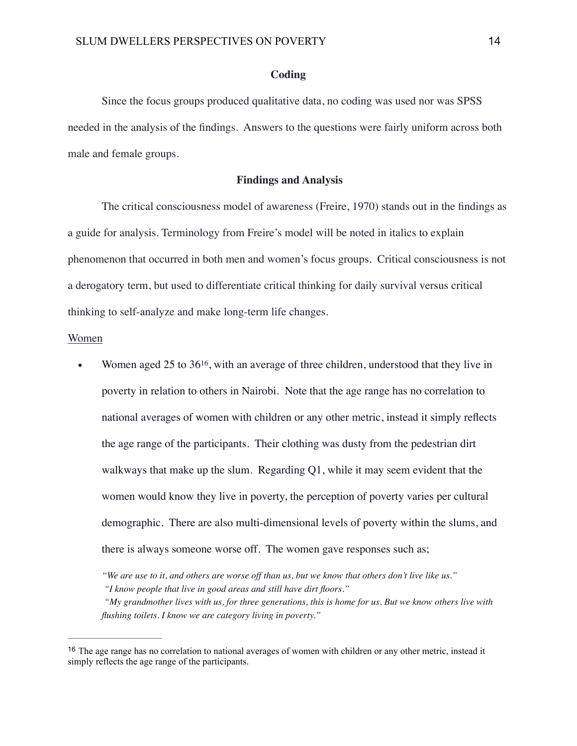### **Coding**

Since the focus groups produced qualitative data, no coding was used nor was SPSS needed in the analysis of the findings. Answers to the questions were fairly uniform across both male and female groups.

### **Findings and Analysis**

The critical consciousness model of awareness (Freire, 1970) stands out in the findings as a guide for analysis. Terminology from Freire's model will be noted in italics to explain phenomenon that occurred in both men and women's focus groups. Critical consciousness is not a derogatory term, but used to differentiate critical thinking for daily survival versus critical thinking to self-analyze and make long-term life changes.

#### Women

<span id="page-13-1"></span>Women aged 25 to  $36^{16}$  $36^{16}$  $36^{16}$ , with an average of three children, understood that they live in poverty in relation to others in Nairobi. Note that the age range has no correlation to national averages of women with children or any other metric, instead it simply reflects the age range of the participants. Their clothing was dusty from the pedestrian dirt walkways that make up the slum. Regarding  $Q1$ , while it may seem evident that the women would know they live in poverty, the perception of poverty varies per cultural demographic. There are also multi-dimensional levels of poverty within the slums, and there is always someone worse off. The women gave responses such as;

*<sup>&</sup>quot;We are use to it, and others are worse off than us, but we know that others don't live like us."*

*<sup>&</sup>quot;I know people that live in good areas and still have dirt floors."*

*<sup>&</sup>quot;My grandmother lives with us, for three generations, this is home for us. But we know others live with flushing toilets. I know we are category living in poverty."*

<span id="page-13-0"></span><sup>&</sup>lt;sup>[16](#page-13-1)</sup> The age range has no correlation to national averages of women with children or any other metric, instead it simply reflects the age range of the participants.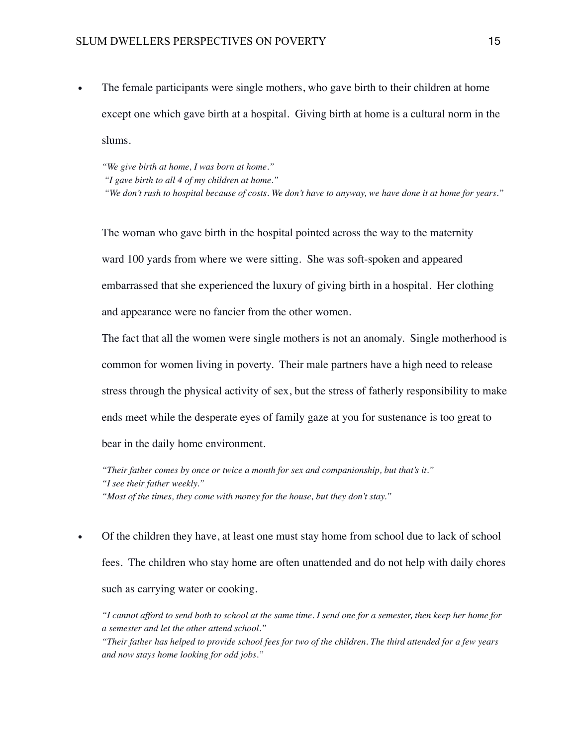• The female participants were single mothers, who gave birth to their children at home except one which gave birth at a hospital. Giving birth at home is a cultural norm in the slums.

*"We give birth at home, I was born at home." "I gave birth to all 4 of my children at home."*

*"We don't rush to hospital because of costs. We don't have to anyway, we have done it at home for years."*

The woman who gave birth in the hospital pointed across the way to the maternity ward 100 yards from where we were sitting. She was soft-spoken and appeared embarrassed that she experienced the luxury of giving birth in a hospital. Her clothing and appearance were no fancier from the other women.

The fact that all the women were single mothers is not an anomaly. Single motherhood is common for women living in poverty. Their male partners have a high need to release stress through the physical activity of sex, but the stress of fatherly responsibility to make ends meet while the desperate eyes of family gaze at you for sustenance is too great to bear in the daily home environment.

*"Their father comes by once or twice a month for sex and companionship, but that's it." "I see their father weekly." "Most of the times, they come with money for the house, but they don't stay."*

• Of the children they have, at least one must stay home from school due to lack of school fees. The children who stay home are often unattended and do not help with daily chores such as carrying water or cooking.

*"I cannot afford to send both to school at the same time. I send one for a semester, then keep her home for a semester and let the other attend school."*

*"Their father has helped to provide school fees for two of the children. The third attended for a few years and now stays home looking for odd jobs."*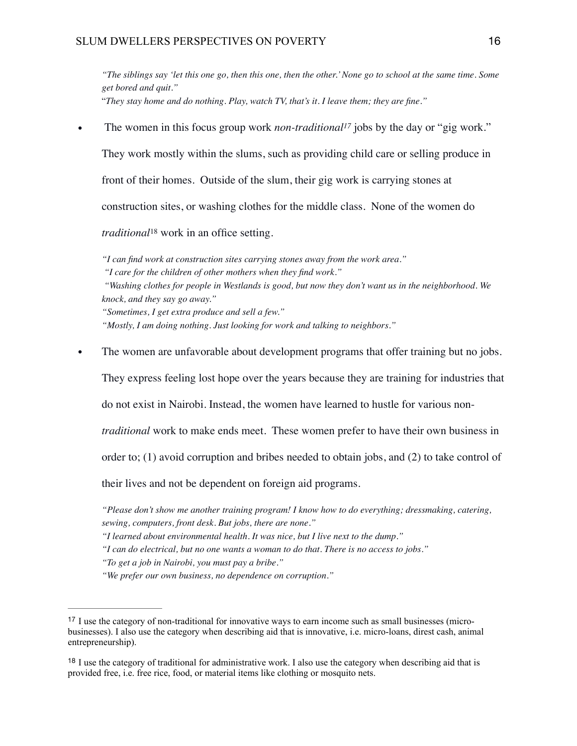*"The siblings say 'let this one go, then this one, then the other.' None go to school at the same time. Some get bored and quit."* "*They stay home and do nothing. Play, watch TV, that's it. I leave them; they are fine."*

The women in this focus group work *non-traditional<sup>[17](#page-15-0)</sup>* jobs by the day or "gig work."

<span id="page-15-2"></span>They work mostly within the slums, such as providing child care or selling produce in

front of their homes. Outside of the slum, their gig work is carrying stones at

construction sites, or washing clothes for the middle class. None of the women do

<span id="page-15-3"></span>*traditional*<sup>[18](#page-15-1)</sup> work in an office setting.

*"I can find work at construction sites carrying stones away from the work area." "I care for the children of other mothers when they find work." "Washing clothes for people in Westlands is good, but now they don't want us in the neighborhood. We knock, and they say go away." "Sometimes, I get extra produce and sell a few." "Mostly, I am doing nothing. Just looking for work and talking to neighbors."* 

The women are unfavorable about development programs that offer training but no jobs.

They express feeling lost hope over the years because they are training for industries that

do not exist in Nairobi. Instead, the women have learned to hustle for various non-

*traditional* work to make ends meet. These women prefer to have their own business in

order to; (1) avoid corruption and bribes needed to obtain jobs, and (2) to take control of

their lives and not be dependent on foreign aid programs.

*"Please don't show me another training program! I know how to do everything; dressmaking, catering, sewing, computers, front desk. But jobs, there are none."*

*"To get a job in Nairobi, you must pay a bribe."*

*"We prefer our own business, no dependence on corruption."*

*<sup>&</sup>quot;I learned about environmental health. It was nice, but I live next to the dump."*

*<sup>&</sup>quot;I can do electrical, but no one wants a woman to do that. There is no access to jobs."*

<span id="page-15-0"></span><sup>&</sup>lt;sup>[17](#page-15-2)</sup> I use the category of non-traditional for innovative ways to earn income such as small businesses (microbusinesses). I also use the category when describing aid that is innovative, i.e. micro-loans, direst cash, animal entrepreneurship).

<span id="page-15-1"></span><sup>&</sup>lt;sup>[18](#page-15-3)</sup> I use the category of traditional for administrative work. I also use the category when describing aid that is provided free, i.e. free rice, food, or material items like clothing or mosquito nets.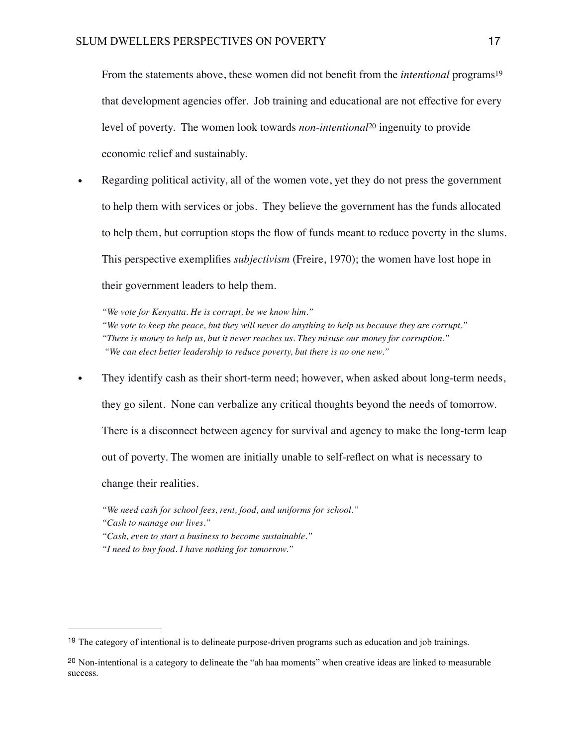<span id="page-16-3"></span><span id="page-16-2"></span>From the statements above, these women did not benefit from the *intentional* programs<sup>[19](#page-16-0)</sup> that development agencies offer. Job training and educational are not effective for every level of poverty. The women look towards *non-intentional* <sup>[20](#page-16-1)</sup> ingenuity to provide economic relief and sustainably.

• Regarding political activity, all of the women vote, yet they do not press the government to help them with services or jobs. They believe the government has the funds allocated to help them, but corruption stops the flow of funds meant to reduce poverty in the slums. This perspective exemplifies *subjectivism* (Freire, 1970); the women have lost hope in their government leaders to help them.

*"We vote for Kenyatta. He is corrupt, be we know him." "We vote to keep the peace, but they will never do anything to help us because they are corrupt." "There is money to help us, but it never reaches us. They misuse our money for corruption." "We can elect better leadership to reduce poverty, but there is no one new."*

- They identify cash as their short-term need; however, when asked about long-term needs, they go silent. None can verbalize any critical thoughts beyond the needs of tomorrow. There is a disconnect between agency for survival and agency to make the long-term leap out of poverty. The women are initially unable to self-reflect on what is necessary to change their realities.
	- *"We need cash for school fees, rent, food, and uniforms for school."*
	- *"Cash to manage our lives."*
	- *"Cash, even to start a business to become sustainable."*
	- *"I need to buy food. I have nothing for tomorrow."*

<span id="page-16-0"></span><sup>&</sup>lt;sup>[19](#page-16-2)</sup> The category of intentional is to delineate purpose-driven programs such as education and job trainings.

<span id="page-16-1"></span><sup>&</sup>lt;sup>[20](#page-16-3)</sup> Non-intentional is a category to delineate the "ah haa moments" when creative ideas are linked to measurable success.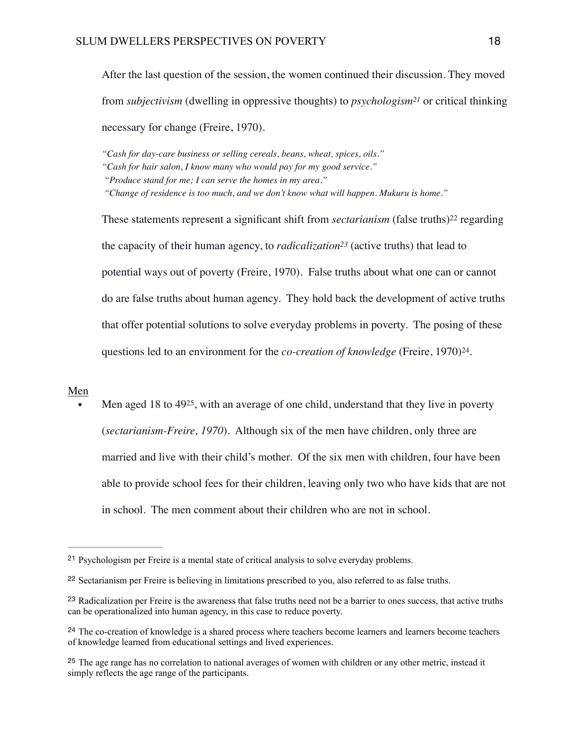<span id="page-17-5"></span>After the last question of the session, the women continued their discussion. They moved from *subjectivism* (dwelling in oppressive thoughts) to *psychologism*<sup>[21](#page-17-0)</sup> or critical thinking necessary for change (Freire, 1970).

*"Cash for day-care business or selling cereals, beans, wheat, spices, oils."*

*"Cash for hair salon, I know many who would pay for my good service."*

<span id="page-17-6"></span>*"Change of residence is too much, and we don't know what will happen. Mukuru is home."*

<span id="page-17-8"></span><span id="page-17-7"></span>Thesestatements represent a significant shift from *sectarianism* (false truths)<sup>[22](#page-17-1)</sup> regarding the capacity of their human agency, to *radicalization*<sup>[23](#page-17-2)</sup> (active truths) that lead to potential ways out of poverty (Freire, 1970). False truths about what one can or cannot do are false truths about human agency. They hold back the development of active truths that offer potential solutions to solve everyday problems in poverty. The posing of these questions led to an environment for the *co-creation of knowledge* (Freire, 1970)<sup>[24](#page-17-3)</sup>.

### Men

<span id="page-17-9"></span>Men aged 18 to  $49^{25}$  $49^{25}$  $49^{25}$ [,](#page-17-4) with an average of one child, understand that they live in poverty (*sectarianism-Freire, 1970*). Although six of the men have children, only three are married and live with their child's mother. Of the six men with children, four have been able to provide school fees for their children, leaving only two who have kids that are not in school. The men comment about their children who are not in school.

*<sup>&</sup>quot;Produce stand for me; I can serve the homes in my area."*

<span id="page-17-0"></span><sup>&</sup>lt;sup>[21](#page-17-5)</sup> Psychologism per Freire is a mental state of critical analysis to solve everyday problems.

<span id="page-17-1"></span><sup>&</sup>lt;sup>[22](#page-17-6)</sup> Sectarianism per Freire is believing in limitations prescribed to you, also referred to as false truths.

<span id="page-17-2"></span><sup>&</sup>lt;sup>[23](#page-17-7)</sup> Radicalization per Freire is the awareness that false truths need not be a barrier to ones success, that active truths can be operationalized into human agency, in this case to reduce poverty.

<span id="page-17-3"></span><sup>&</sup>lt;sup>[24](#page-17-8)</sup> The co-creation of knowledge is a shared process where teachers become learners and learners become teachers of knowledge learned from educational settings and lived experiences.

<span id="page-17-4"></span><sup>&</sup>lt;sup>[25](#page-17-9)</sup> The age range has no correlation to national averages of women with children or any other metric, instead it simply reflects the age range of the participants.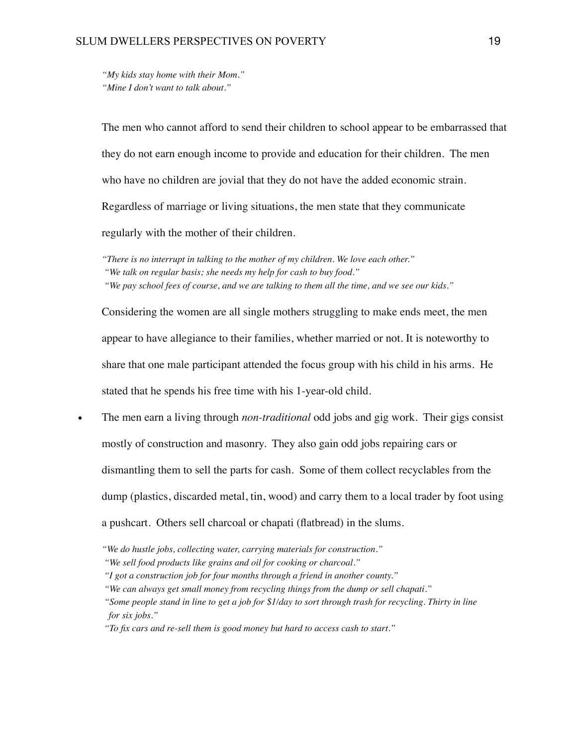*"My kids stay home with their Mom." "Mine I don't want to talk about."*

The men who cannot afford to send their children to school appear to be embarrassed that they do not earn enough income to provide and education for their children. The men who have no children are jovial that they do not have the added economic strain. Regardless of marriage or living situations, the men state that they communicate regularly with the mother of their children.

*"There is no interrupt in talking to the mother of my children. We love each other." "We talk on regular basis; she needs my help for cash to buy food." "We pay school fees of course, and we are talking to them all the time, and we see our kids."* 

Considering the women are all single mothers struggling to make ends meet, the men appear to have allegiance to their families, whether married or not. It is noteworthy to share that one male participant attended the focus group with his child in his arms. He stated that he spends his free time with his 1-year-old child.

• The men earn a living through *non-traditional* odd jobs and gig work. Their gigs consist mostly of construction and masonry. They also gain odd jobs repairing cars or dismantling them to sell the parts for cash. Some of them collect recyclables from the dump (plastics, discarded metal, tin, wood) and carry them to a local trader by foot using a pushcart. Others sell charcoal or chapati (flatbread) in the slums.

*<sup>&</sup>quot;We do hustle jobs, collecting water, carrying materials for construction."*

*<sup>&</sup>quot;We sell food products like grains and oil for cooking or charcoal."*

*<sup>&</sup>quot;I got a construction job for four months through a friend in another county."*

*<sup>&</sup>quot;We can always get small money from recycling things from the dump or sell chapati."*

*<sup>&</sup>quot;Some people stand in line to get a job for \$1/day to sort through trash for recycling. Thirty in line for six jobs."*

*<sup>&</sup>quot;To fix cars and re-sell them is good money but hard to access cash to start."*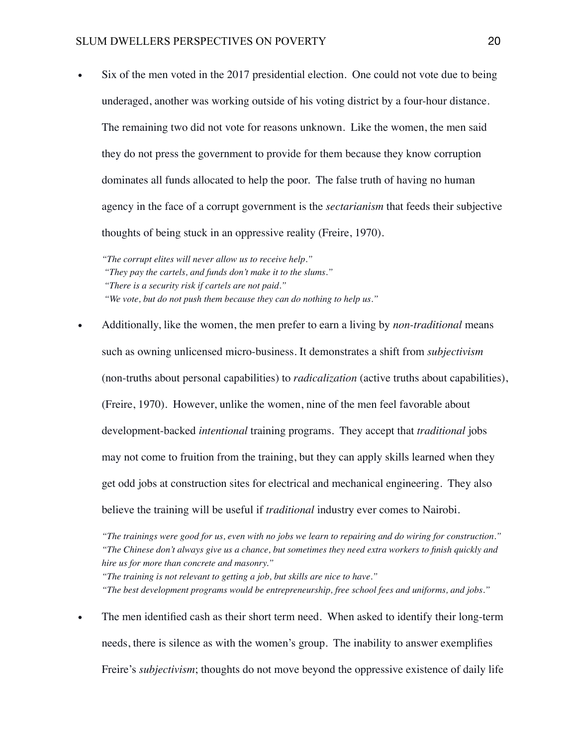• Six of the men voted in the 2017 presidential election. One could not vote due to being underaged, another was working outside of his voting district by a four-hour distance. The remaining two did not vote for reasons unknown. Like the women, the men said they do not press the government to provide for them because they know corruption dominates all funds allocated to help the poor. The false truth of having no human agency in the face of a corrupt government is the *sectarianism* that feeds their subjective thoughts of being stuck in an oppressive reality (Freire, 1970).

*"The corrupt elites will never allow us to receive help." "They pay the cartels, and funds don't make it to the slums." "There is a security risk if cartels are not paid." "We vote, but do not push them because they can do nothing to help us."* 

• Additionally, like the women, the men prefer to earn a living by *non-traditional* means such as owning unlicensed micro-business. It demonstrates a shift from *subjectivism* (non-truths about personal capabilities) to *radicalization* (active truths about capabilities), (Freire, 1970). However, unlike the women, nine of the men feel favorable about development-backed *intentional* training programs. They accept that *traditional* jobs may not come to fruition from the training, but they can apply skills learned when they get odd jobs at construction sites for electrical and mechanical engineering. They also believe the training will be useful if *traditional* industry ever comes to Nairobi.

*"The training is not relevant to getting a job, but skills are nice to have."*

*"The best development programs would be entrepreneurship, free school fees and uniforms, and jobs."* 

The men identified cash as their short term need. When asked to identify their long-term needs, there is silence as with the women's group. The inability to answer exemplifies Freire's *subjectivism*; thoughts do not move beyond the oppressive existence of daily life

*<sup>&</sup>quot;The trainings were good for us, even with no jobs we learn to repairing and do wiring for construction." "The Chinese don't always give us a chance, but sometimes they need extra workers to finish quickly and hire us for more than concrete and masonry."*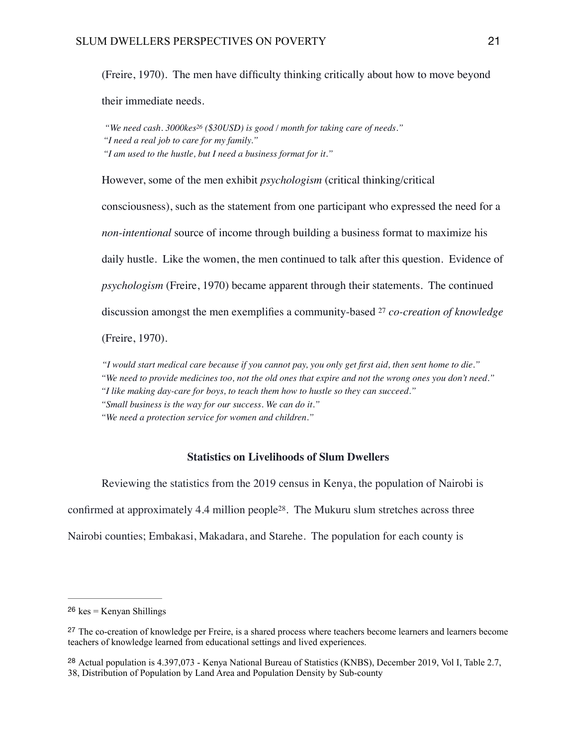(Freire, 1970). The men have difficulty thinking critically about how to move beyond

their immediate needs.

<span id="page-20-3"></span>*"We need cash. 3000ke[s26](#page-20-0) (\$30USD) is good / month for taking care of needs." "I need a real job to care for my family." "I am used to the hustle, but I need a business format for it."*

However, some of the men exhibit *psychologism* (critical thinking/critical consciousness), such as the statement from one participant who expressed the need for a *non-intentional* source of income through building a business format to maximize his daily hustle. Like the women, the men continued to talk after this question. Evidence of *psychologism* (Freire, 1970) became apparent through their statements. The continued discussion amongst the men exemplifies a community-based [27](#page-20-1) *co-creation of knowledge*

(Freire, 1970).

*"I would start medical care because if you cannot pay, you only get first aid, then sent home to die." "We need to provide medicines too, not the old ones that expire and not the wrong ones you don't need." "I like making day-care for boys, to teach them how to hustle so they can succeed."*

 *"Small business is the way for our success. We can do it."*

 *"We need a protection service for women and children."*

# <span id="page-20-5"></span><span id="page-20-4"></span>**Statistics on Livelihoods of Slum Dwellers**

Reviewing the statistics from the 2019 census in Kenya, the population of Nairobi is confirmed at approximately  $4.4$  million people<sup>[28](#page-20-2)</sup>. The Mukuru slum stretches across three Nairobi counties; Embakasi, Makadara, and Starehe. The population for each county is

<span id="page-20-0"></span> $26$  kes = Kenyan Shillings

<span id="page-20-1"></span><sup>&</sup>lt;sup>[27](#page-20-4)</sup> The co-creation of knowledge per Freire, is a shared process where teachers become learners and learners become teachers of knowledge learned from educational settings and lived experiences.

<span id="page-20-2"></span><sup>&</sup>lt;sup>[28](#page-20-5)</sup> Actual population is 4.397,073 - Kenya National Bureau of Statistics (KNBS), December 2019, Vol I, Table 2.7, 38, Distribution of Population by Land Area and Population Density by Sub-county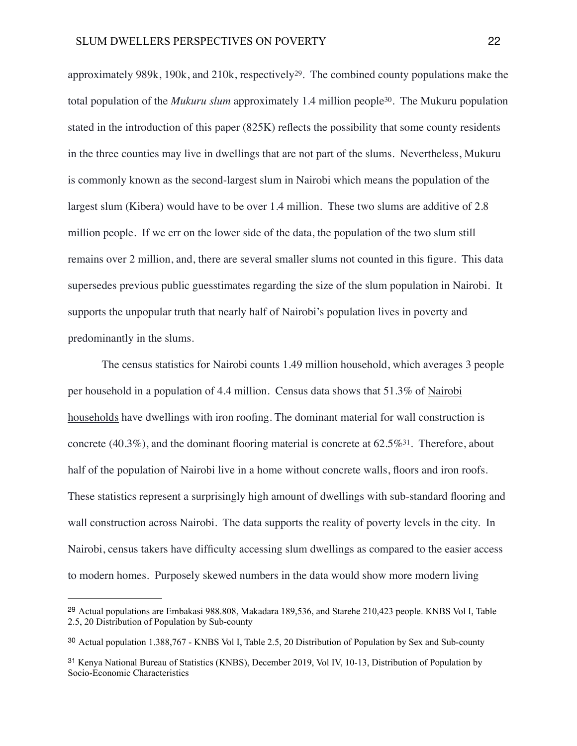<span id="page-21-4"></span><span id="page-21-3"></span>approximately 989k, 190k, and 210k, respectively<sup>29</sup>[.](#page-21-0) The combined county populations make the total population of the *Mukuru slum* approximately 1[.](#page-21-1)4 million people<sup>[30](#page-21-1)</sup>. The Mukuru population stated in the introduction of this paper (825K) reflects the possibility that some county residents in the three counties may live in dwellings that are not part of the slums. Nevertheless, Mukuru is commonly known as the second-largest slum in Nairobi which means the population of the largest slum (Kibera) would have to be over 1.4 million. These two slums are additive of 2.8 million people. If we err on the lower side of the data, the population of the two slum still remains over 2 million, and, there are several smaller slums not counted in this figure. This data supersedes previous public guesstimates regarding the size of the slum population in Nairobi. It supports the unpopular truth that nearly half of Nairobi's population lives in poverty and predominantly in the slums.

<span id="page-21-5"></span>The census statistics for Nairobi counts 1.49 million household, which averages 3 people per household in a population of 4.4 million. Census data shows that 51.3% of Nairobi households have dwellings with iron roofing. The dominant material for wall construction is concrete (40[.](#page-21-2)3%), and the dominant flooring material is concrete at  $62.5\%$ <sup>[31](#page-21-2)</sup>. Therefore, about half of the population of Nairobi live in a home without concrete walls, floors and iron roofs. These statistics represent a surprisingly high amount of dwellings with sub-standard flooring and wall construction across Nairobi. The data supports the reality of poverty levels in the city. In Nairobi, census takers have difficulty accessing slum dwellings as compared to the easier access to modern homes. Purposely skewed numbers in the data would show more modern living

<span id="page-21-0"></span><sup>&</sup>lt;sup>[29](#page-21-3)</sup> Actual populations are Embakasi 988.808, Makadara 189,536, and Starehe 210,423 people. KNBS Vol I, Table 2.5, 20 Distribution of Population by Sub-county

<span id="page-21-1"></span>Actual population 1.388,767 - KNBS Vol I, Table 2.5, 20 Distribution of Population by Sex and Sub-county [30](#page-21-4)

<span id="page-21-2"></span><sup>&</sup>lt;sup>[31](#page-21-5)</sup> Kenya National Bureau of Statistics (KNBS), December 2019, Vol IV, 10-13, Distribution of Population by Socio-Economic Characteristics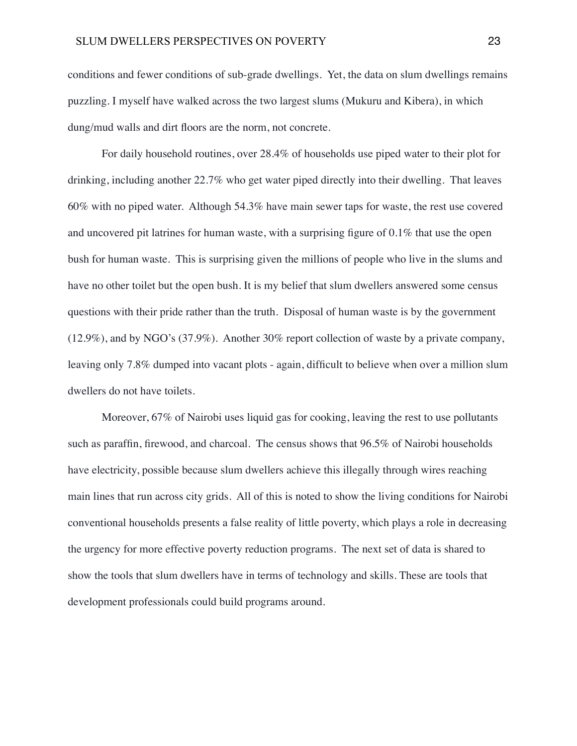conditions and fewer conditions of sub-grade dwellings. Yet, the data on slum dwellings remains puzzling. I myself have walked across the two largest slums (Mukuru and Kibera), in which dung/mud walls and dirt floors are the norm, not concrete.

For daily household routines, over 28.4% of households use piped water to their plot for drinking, including another 22.7% who get water piped directly into their dwelling. That leaves 60% with no piped water. Although 54.3% have main sewer taps for waste, the rest use covered and uncovered pit latrines for human waste, with a surprising figure of 0.1% that use the open bush for human waste. This is surprising given the millions of people who live in the slums and have no other toilet but the open bush. It is my belief that slum dwellers answered some census questions with their pride rather than the truth. Disposal of human waste is by the government (12.9%), and by NGO's (37.9%). Another 30% report collection of waste by a private company, leaving only 7.8% dumped into vacant plots - again, difficult to believe when over a million slum dwellers do not have toilets.

Moreover, 67% of Nairobi uses liquid gas for cooking, leaving the rest to use pollutants such as paraffin, firewood, and charcoal. The census shows that 96.5% of Nairobi households have electricity, possible because slum dwellers achieve this illegally through wires reaching main lines that run across city grids. All of this is noted to show the living conditions for Nairobi conventional households presents a false reality of little poverty, which plays a role in decreasing the urgency for more effective poverty reduction programs. The next set of data is shared to show the tools that slum dwellers have in terms of technology and skills. These are tools that development professionals could build programs around.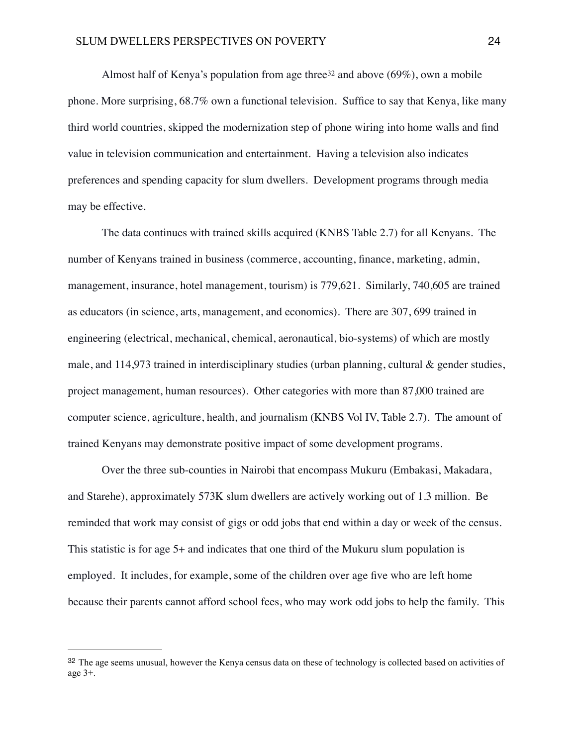<span id="page-23-1"></span>Almosthalf of Kenya's population from age three  $32$  and above (69%), own a mobile phone. More surprising, 68.7% own a functional television. Suffice to say that Kenya, like many third world countries, skipped the modernization step of phone wiring into home walls and find value in television communication and entertainment. Having a television also indicates preferences and spending capacity for slum dwellers. Development programs through media may be effective.

The data continues with trained skills acquired (KNBS Table 2.7) for all Kenyans. The number of Kenyans trained in business (commerce, accounting, finance, marketing, admin, management, insurance, hotel management, tourism) is 779,621. Similarly, 740,605 are trained as educators (in science, arts, management, and economics). There are 307, 699 trained in engineering (electrical, mechanical, chemical, aeronautical, bio-systems) of which are mostly male, and  $114,973$  trained in interdisciplinary studies (urban planning, cultural  $\&$  gender studies, project management, human resources). Other categories with more than 87,000 trained are computer science, agriculture, health, and journalism (KNBS Vol IV, Table 2.7). The amount of trained Kenyans may demonstrate positive impact of some development programs.

Over the three sub-counties in Nairobi that encompass Mukuru (Embakasi, Makadara, and Starehe), approximately 573K slum dwellers are actively working out of 1.3 million. Be reminded that work may consist of gigs or odd jobs that end within a day or week of the census. This statistic is for age 5+ and indicates that one third of the Mukuru slum population is employed. It includes, for example, some of the children over age five who are left home because their parents cannot afford school fees, who may work odd jobs to help the family. This

<span id="page-23-0"></span>[<sup>32</sup>](#page-23-1) The age seems unusual, however the Kenya census data on these of technology is collected based on activities of age 3+.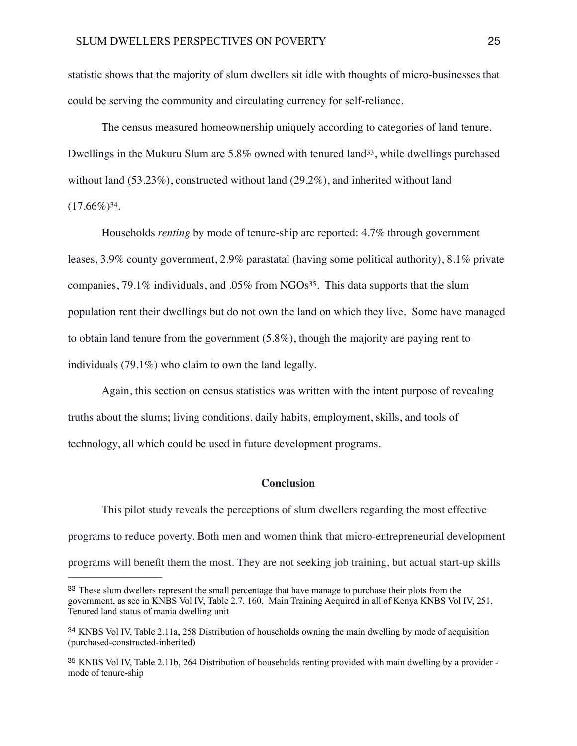statistic shows that the majority of slum dwellers sit idle with thoughts of micro-businesses that could be serving the community and circulating currency for self-reliance.

<span id="page-24-3"></span>The census measured homeownership uniquely according to categories of land tenure. Dwellings in the Mukuru Slum are  $5.8\%$  owned with tenured land  $33$ [,](#page-24-0) while dwellings purchased without land  $(53.23\%)$ , constructed without land  $(29.2\%)$ , and inherited without land  $(17.66\%)^{34}$  $(17.66\%)^{34}$  $(17.66\%)^{34}$ .

<span id="page-24-4"></span>Households *renting* by mode of tenure-ship are reported: 4.7% through government leases, 3.9% county government, 2.9% parastatal (having some political authority), 8.1% private companies,  $79.1\%$  $79.1\%$  $79.1\%$  individuals, and  $.05\%$  from NGOs<sup>[35](#page-24-2)</sup>. This data supports that the slum population rent their dwellings but do not own the land on which they live. Some have managed to obtain land tenure from the government (5.8%), though the majority are paying rent to individuals (79.1%) who claim to own the land legally.

Again, this section on census statistics was written with the intent purpose of revealing truths about the slums; living conditions, daily habits, employment, skills, and tools of technology, all which could be used in future development programs.

# <span id="page-24-5"></span>**Conclusion**

This pilot study reveals the perceptions of slum dwellers regarding the most effective programs to reduce poverty. Both men and women think that micro-entrepreneurial development programs will benefit them the most. They are not seeking job training, but actual start-up skills

<span id="page-24-0"></span><sup>&</sup>lt;sup>[33](#page-24-3)</sup> These slum dwellers represent the small percentage that have manage to purchase their plots from the government, as see in KNBS Vol IV, Table 2.7, 160, Main Training Acquired in all of Kenya KNBS Vol IV, 251, Tenured land status of mania dwelling unit

<span id="page-24-1"></span><sup>&</sup>lt;sup>[34](#page-24-4)</sup> KNBS Vol IV, Table 2.11a, 258 Distribution of households owning the main dwelling by mode of acquisition (purchased-constructed-inherited)

<span id="page-24-2"></span><sup>&</sup>lt;sup>[35](#page-24-5)</sup> KNBS Vol IV, Table 2.11b, 264 Distribution of households renting provided with main dwelling by a provider mode of tenure-ship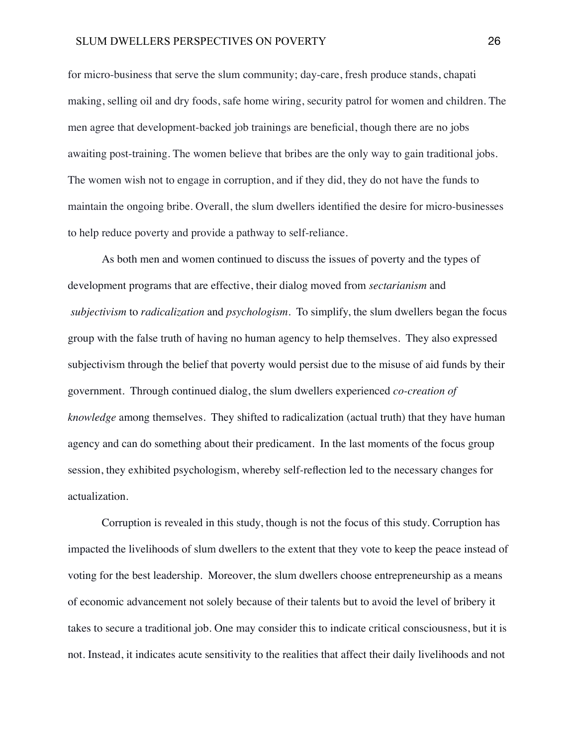for micro-business that serve the slum community; day-care, fresh produce stands, chapati making, selling oil and dry foods, safe home wiring, security patrol for women and children. The men agree that development-backed job trainings are beneficial, though there are no jobs awaiting post-training. The women believe that bribes are the only way to gain traditional jobs. The women wish not to engage in corruption, and if they did, they do not have the funds to maintain the ongoing bribe. Overall, the slum dwellers identified the desire for micro-businesses to help reduce poverty and provide a pathway to self-reliance.

As both men and women continued to discuss the issues of poverty and the types of development programs that are effective, their dialog moved from *sectarianism* and *subjectivism* to *radicalization* and *psychologism*. To simplify, the slum dwellers began the focus group with the false truth of having no human agency to help themselves. They also expressed subjectivism through the belief that poverty would persist due to the misuse of aid funds by their government. Through continued dialog, the slum dwellers experienced *co-creation of knowledge* among themselves. They shifted to radicalization (actual truth) that they have human agency and can do something about their predicament. In the last moments of the focus group session, they exhibited psychologism, whereby self-reflection led to the necessary changes for actualization.

Corruption is revealed in this study, though is not the focus of this study. Corruption has impacted the livelihoods of slum dwellers to the extent that they vote to keep the peace instead of voting for the best leadership. Moreover, the slum dwellers choose entrepreneurship as a means of economic advancement not solely because of their talents but to avoid the level of bribery it takes to secure a traditional job. One may consider this to indicate critical consciousness, but it is not. Instead, it indicates acute sensitivity to the realities that affect their daily livelihoods and not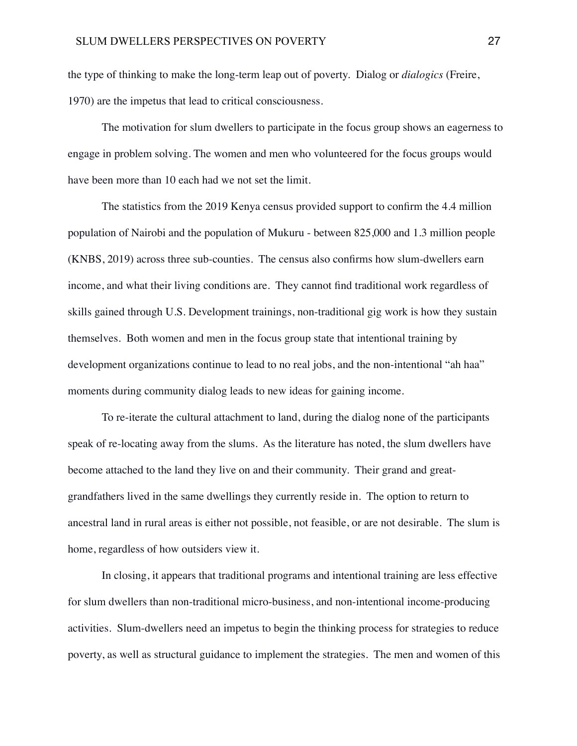the type of thinking to make the long-term leap out of poverty. Dialog or *dialogics* (Freire, 1970) are the impetus that lead to critical consciousness.

The motivation for slum dwellers to participate in the focus group shows an eagerness to engage in problem solving. The women and men who volunteered for the focus groups would have been more than 10 each had we not set the limit.

The statistics from the 2019 Kenya census provided support to confirm the 4.4 million population of Nairobi and the population of Mukuru - between 825,000 and 1.3 million people (KNBS, 2019) across three sub-counties. The census also confirms how slum-dwellers earn income, and what their living conditions are. They cannot find traditional work regardless of skills gained through U.S. Development trainings, non-traditional gig work is how they sustain themselves. Both women and men in the focus group state that intentional training by development organizations continue to lead to no real jobs, and the non-intentional "ah haa" moments during community dialog leads to new ideas for gaining income.

To re-iterate the cultural attachment to land, during the dialog none of the participants speak of re-locating away from the slums. As the literature has noted, the slum dwellers have become attached to the land they live on and their community. Their grand and greatgrandfathers lived in the same dwellings they currently reside in. The option to return to ancestral land in rural areas is either not possible, not feasible, or are not desirable. The slum is home, regardless of how outsiders view it.

In closing, it appears that traditional programs and intentional training are less effective for slum dwellers than non-traditional micro-business, and non-intentional income-producing activities. Slum-dwellers need an impetus to begin the thinking process for strategies to reduce poverty, as well as structural guidance to implement the strategies. The men and women of this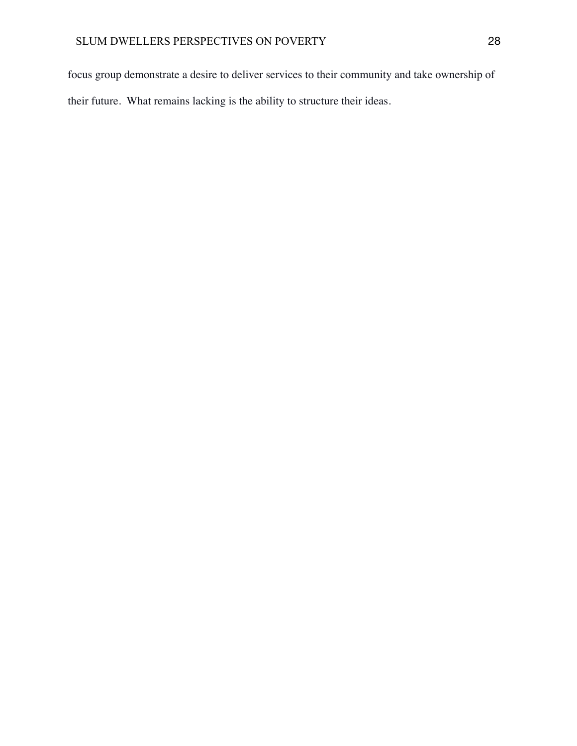focus group demonstrate a desire to deliver services to their community and take ownership of their future. What remains lacking is the ability to structure their ideas.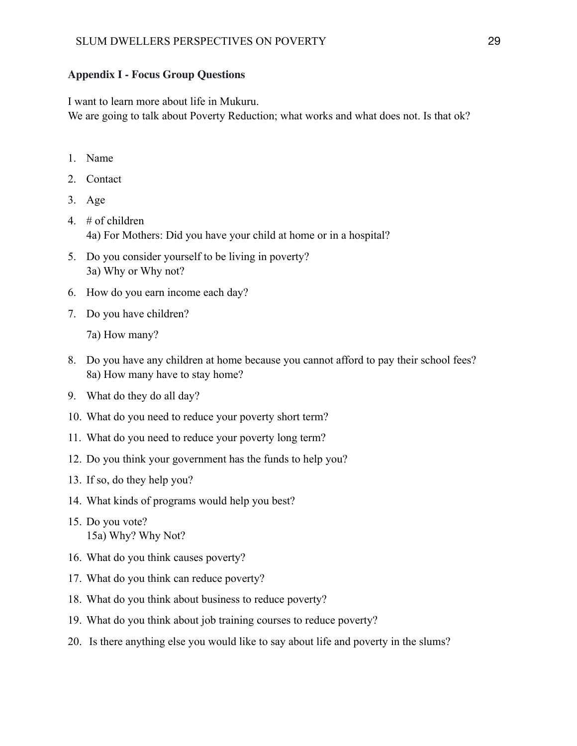# **Appendix I - Focus Group Questions**

I want to learn more about life in Mukuru.

We are going to talk about Poverty Reduction; what works and what does not. Is that ok?

- 1. Name
- 2. Contact
- 3. Age
- 4. # of children 4a) For Mothers: Did you have your child at home or in a hospital?
- 5. Do you consider yourself to be living in poverty? 3a) Why or Why not?
- 6. How do you earn income each day?
- 7. Do you have children?

7a) How many?

- 8. Do you have any children at home because you cannot afford to pay their school fees? 8a) How many have to stay home?
- 9. What do they do all day?
- 10. What do you need to reduce your poverty short term?
- 11. What do you need to reduce your poverty long term?
- 12. Do you think your government has the funds to help you?
- 13. If so, do they help you?
- 14. What kinds of programs would help you best?
- 15. Do you vote? 15a) Why? Why Not?
- 16. What do you think causes poverty?
- 17. What do you think can reduce poverty?
- 18. What do you think about business to reduce poverty?
- 19. What do you think about job training courses to reduce poverty?
- 20. Is there anything else you would like to say about life and poverty in the slums?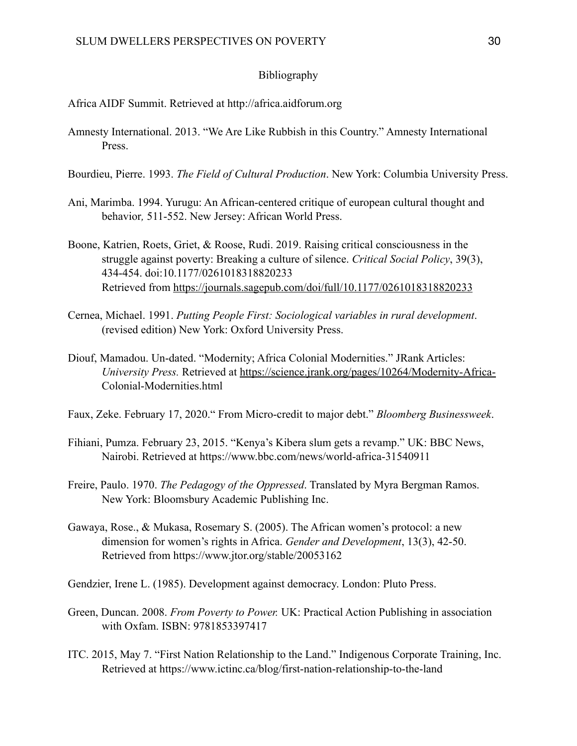# Bibliography

Africa AIDF Summit. Retrieved at http://africa.aidforum.org

- Amnesty International. 2013. "We Are Like Rubbish in this Country." Amnesty International Press.
- Bourdieu, Pierre. 1993. *The Field of Cultural Production*. New York: Columbia University Press.
- Ani, Marimba. 1994. Yurugu: An African-centered critique of european cultural thought and behavior*,* 511-552. New Jersey: African World Press.
- Boone, Katrien, Roets, Griet, & Roose, Rudi. 2019. Raising critical consciousness in the struggle against poverty: Breaking a culture of silence. *Critical Social Policy*, 39(3), 434-454. doi:10.1177/0261018318820233 Retrieved from [https://journals.sagepub.com/doi/full/10.1177/0261018318820233](https://journals.sagepub.com%20/doi/full/10.1177/0261018318820233)
- Cernea, Michael. 1991. *Putting People First: Sociological variables in rural development*. (revised edition) New York: Oxford University Press.
- Diouf, Mamadou. Un-dated. "Modernity; Africa Colonial Modernities." JRank Articles: *University Press.* Retrieved at<https://science.jrank.org/pages/10264/Modernity-Africa-> Colonial-Modernities.html
- Faux, Zeke. February 17, 2020." From Micro-credit to major debt." *Bloomberg Businessweek*.
- Fihiani, Pumza. February 23, 2015. "Kenya's Kibera slum gets a revamp." UK: BBC News, Nairobi. Retrieved at https://www.bbc.com/news/world-africa-31540911
- Freire, Paulo. 1970. *The Pedagogy of the Oppressed*. Translated by Myra Bergman Ramos. New York: Bloomsbury Academic Publishing Inc.
- Gawaya, Rose., & Mukasa, Rosemary S. (2005). The African women's protocol: a new dimension for women's rights in Africa. *Gender and Development*, 13(3), 42-50. Retrieved from https://www.jtor.org/stable/20053162

Gendzier, Irene L. (1985). Development against democracy. London: Pluto Press.

- Green, Duncan. 2008. *From Poverty to Power.* UK: Practical Action Publishing in association with Oxfam. ISBN: 9781853397417
- ITC. 2015, May 7. "First Nation Relationship to the Land." Indigenous Corporate Training, Inc. Retrieved at https://www.ictinc.ca/blog/first-nation-relationship-to-the-land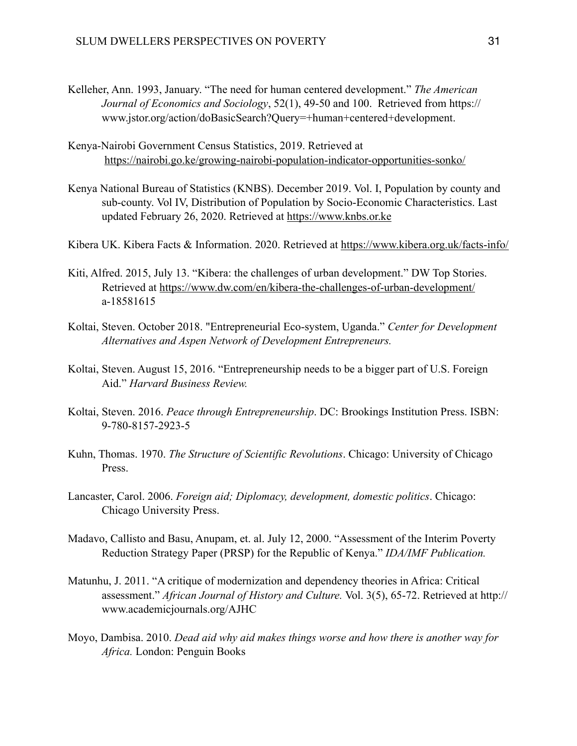- Kelleher, Ann. 1993, January. "The need for human centered development." *The American Journal of Economics and Sociology*, 52(1), 49-50 and 100. Retrieved from https:// www.jstor.org/action/doBasicSearch?Query=+human+centered+development.
- Kenya-Nairobi Government Census Statistics, 2019. Retrieved at <https://nairobi.go.ke/growing-nairobi-population-indicator-opportunities-sonko/>
- Kenya National Bureau of Statistics (KNBS). December 2019. Vol. I, Population by county and sub-county. Vol IV, Distribution of Population by Socio-Economic Characteristics. Last updated February 26, 2020. Retrieved at <https://www.knbs.or.ke>
- Kibera UK. Kibera Facts & Information. 2020. Retrieved at <https://www.kibera.org.uk/facts-info/>
- Kiti, Alfred. 2015, July 13. "Kibera: the challenges of urban development." DW Top Stories. Retrieved at<https://www.dw.com/en/kibera-the-challenges-of-urban-development/> a-18581615
- Koltai, Steven. October 2018. "Entrepreneurial Eco-system, Uganda." *Center for Development Alternatives and Aspen Network of Development Entrepreneurs.*
- Koltai, Steven. August 15, 2016. "Entrepreneurship needs to be a bigger part of U.S. Foreign Aid." *Harvard Business Review.*
- Koltai, Steven. 2016. *Peace through Entrepreneurship*. DC: Brookings Institution Press. ISBN: 9-780-8157-2923-5
- Kuhn, Thomas. 1970. *The Structure of Scientific Revolutions*. Chicago: University of Chicago Press.
- Lancaster, Carol. 2006. *Foreign aid; Diplomacy, development, domestic politics*. Chicago: Chicago University Press.
- Madavo, Callisto and Basu, Anupam, et. al. July 12, 2000. "Assessment of the Interim Poverty Reduction Strategy Paper (PRSP) for the Republic of Kenya." *IDA/IMF Publication.*
- Matunhu, J. 2011. "A critique of modernization and dependency theories in Africa: Critical assessment." *African Journal of History and Culture.* Vol. 3(5), 65-72. Retrieved at http:// www.academicjournals.org/AJHC
- Moyo, Dambisa. 2010. *Dead aid why aid makes things worse and how there is another way for Africa.* London: Penguin Books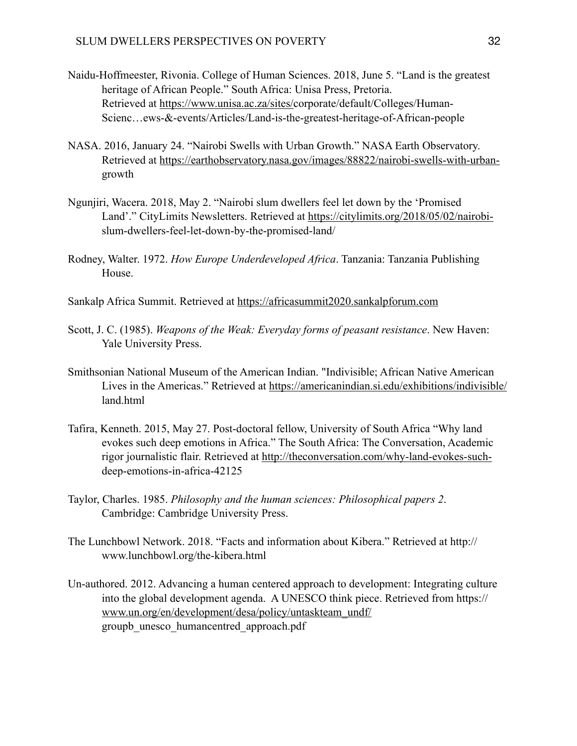- Naidu-Hoffmeester, Rivonia. College of Human Sciences. 2018, June 5. "Land is the greatest heritage of African People." South Africa: Unisa Press, Pretoria. Retrieved at [https://www.unisa.ac.za/sites/c](https://www.unisa.ac.za/sites/)orporate/default/Colleges/Human- Scienc…ews-&-events/Articles/Land-is-the-greatest-heritage-of-African-people
- NASA. 2016, January 24. "Nairobi Swells with Urban Growth." NASA Earth Observatory. Retrieved at [https://earthobservatory.nasa.gov/images/88822/nairobi-swells-with-urban](https://earthobservatory.nasa.gov/images/88822/nairobi-swells-with-urban-) growth
- Ngunjiri, Wacera. 2018, May 2. "Nairobi slum dwellers feel let down by the 'Promised Land'." CityLimits Newsletters. Retrieved at [https://citylimits.org/2018/05/02/nairobi](https://citylimits.org/2018/05/02/nairobi-)  slum-dwellers-feel-let-down-by-the-promised-land/
- Rodney, Walter. 1972. *How Europe Underdeveloped Africa*. Tanzania: Tanzania Publishing House.
- Sankalp Africa Summit. Retrieved at <https://africasummit2020.sankalpforum.com>
- Scott, J. C. (1985). *Weapons of the Weak: Everyday forms of peasant resistance*. New Haven: Yale University Press.
- Smithsonian National Museum of the American Indian. "Indivisible; African Native American Lives in the Americas." Retrieved at <https://americanindian.si.edu/exhibitions/indivisible/> land.html
- Tafira, Kenneth. 2015, May 27. Post-doctoral fellow, University of South Africa "Why land evokes such deep emotions in Africa." The South Africa: The Conversation, Academic rigor journalistic flair. Retrieved at [http://theconversation.com/why-land-evokes-such](http://theconversation.com/why-land-evokes-such-) deep-emotions-in-africa-42125
- Taylor, Charles. 1985. *Philosophy and the human sciences: Philosophical papers 2*. Cambridge: Cambridge University Press.
- The Lunchbowl Network. 2018. "Facts and information about Kibera." Retrieved at http:// www.lunchbowl.org/the-kibera.html
- Un-authored. 2012. Advancing a human centered approach to development: Integrating culture into the global development agenda. A UNESCO think piece. Retrieved from https:// [www.un.org/en/development/desa/policy/untaskteam\\_undf/](http://www.un.org/en/development/desa/policy/untaskteam_undf/) groupb\_unesco\_humancentred\_approach.pdf